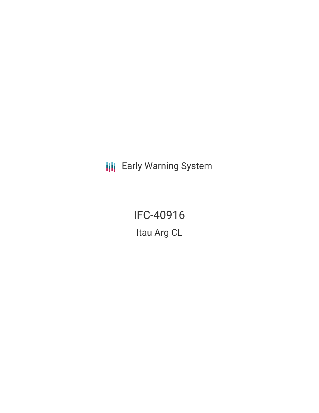**III** Early Warning System

IFC-40916 Itau Arg CL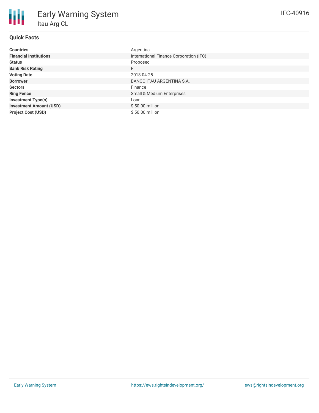| <b>Countries</b>               | Argentina                               |
|--------------------------------|-----------------------------------------|
| <b>Financial Institutions</b>  | International Finance Corporation (IFC) |
| <b>Status</b>                  | Proposed                                |
| <b>Bank Risk Rating</b>        | FI                                      |
| <b>Voting Date</b>             | 2018-04-25                              |
| <b>Borrower</b>                | BANCO ITAU ARGENTINA S.A.               |
| <b>Sectors</b>                 | Finance                                 |
| <b>Ring Fence</b>              | Small & Medium Enterprises              |
| <b>Investment Type(s)</b>      | Loan                                    |
| <b>Investment Amount (USD)</b> | $$50.00$ million                        |
| <b>Project Cost (USD)</b>      | $$50.00$ million                        |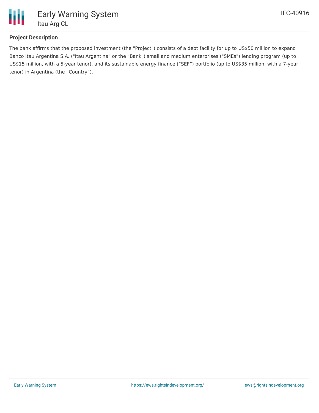

## **Project Description**

The bank affirms that the proposed investment (the "Project") consists of a debt facility for up to US\$50 million to expand Banco Itau Argentina S.A. ("Itau Argentina" or the "Bank") small and medium enterprises ("SMEs") lending program (up to US\$15 million, with a 5-year tenor), and its sustainable energy finance ("SEF") portfolio (up to US\$35 million, with a 7-year tenor) in Argentina (the "Country").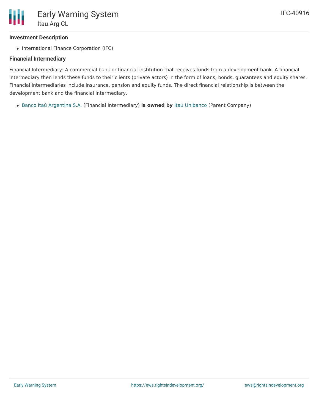## **Investment Description**

• International Finance Corporation (IFC)

## **Financial Intermediary**

Financial Intermediary: A commercial bank or financial institution that receives funds from a development bank. A financial intermediary then lends these funds to their clients (private actors) in the form of loans, bonds, guarantees and equity shares. Financial intermediaries include insurance, pension and equity funds. The direct financial relationship is between the development bank and the financial intermediary.

Banco Itaú [Argentina](file:///actor/631/) S.A. (Financial Intermediary) **is owned by** Itaú [Unibanco](file:///actor/4151/) (Parent Company)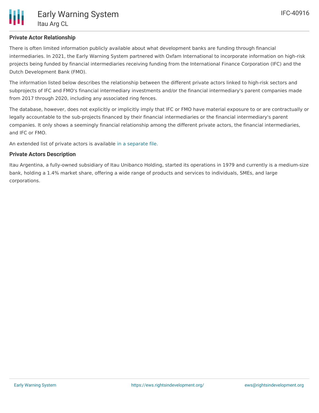## **Private Actor Relationship**

There is often limited information publicly available about what development banks are funding through financial intermediaries. In 2021, the Early Warning System partnered with Oxfam International to incorporate information on high-risk projects being funded by financial intermediaries receiving funding from the International Finance Corporation (IFC) and the Dutch Development Bank (FMO).

The information listed below describes the relationship between the different private actors linked to high-risk sectors and subprojects of IFC and FMO's financial intermediary investments and/or the financial intermediary's parent companies made from 2017 through 2020, including any associated ring fences.

The database, however, does not explicitly or implicitly imply that IFC or FMO have material exposure to or are contractually or legally accountable to the sub-projects financed by their financial intermediaries or the financial intermediary's parent companies. It only shows a seemingly financial relationship among the different private actors, the financial intermediaries, and IFC or FMO.

An extended list of private actors is available in a [separate](https://docs.google.com/spreadsheets/d/107HmczPdFZsp5k1AP_MHf3CY9JULRY89_TYAVhyUkC0/edit?usp=sharing) file.

#### **Private Actors Description**

Itau Argentina, a fully-owned subsidiary of Itau Unibanco Holding, started its operations in 1979 and currently is a medium-size bank, holding a 1.4% market share, offering a wide range of products and services to individuals, SMEs, and large corporations.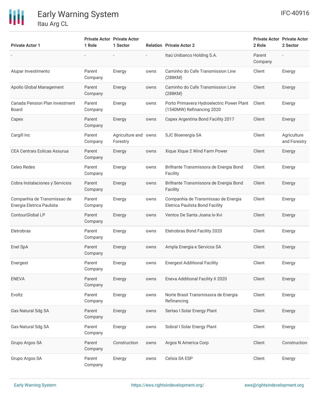# 冊

| <b>Private Actor 1</b>                                   | 1 Role            | <b>Private Actor Private Actor</b><br>1 Sector |      | <b>Relation Private Actor 2</b>                                        | 2 Role            | <b>Private Actor Private Actor</b><br>2 Sector |
|----------------------------------------------------------|-------------------|------------------------------------------------|------|------------------------------------------------------------------------|-------------------|------------------------------------------------|
|                                                          |                   |                                                |      | Itaú Unibanco Holding S.A.                                             | Parent<br>Company |                                                |
| Alupar Investimento                                      | Parent<br>Company | Energy                                         | owns | Caminho do Cafe Transmission Line<br>(288KM)                           | Client            | Energy                                         |
| Apollo Global Management                                 | Parent<br>Company | Energy                                         | owns | Caminho do Cafe Transmission Line<br>(288KM)                           | Client            | Energy                                         |
| Canada Pension Plan Investment<br>Board                  | Parent<br>Company | Energy                                         | owns | Porto Primavera Hydroelectric Power Plant<br>(1540MW) Refinancing 2020 | Client            | Energy                                         |
| Capex                                                    | Parent<br>Company | Energy                                         | owns | Capex Argentina Bond Facility 2017                                     | Client            | Energy                                         |
| Cargill Inc                                              | Parent<br>Company | Agriculture and owns<br>Forestry               |      | SJC Bioenergia SA                                                      | Client            | Agriculture<br>and Forestry                    |
| <b>CEA Centrais Eolicas Assurua</b>                      | Parent<br>Company | Energy                                         | owns | Xique Xique 2 Wind Farm Power                                          | Client            | Energy                                         |
| Celeo Redes                                              | Parent<br>Company | Energy                                         | owns | Brilhante Transmissora de Energia Bond<br>Facility                     | Client            | Energy                                         |
| Cobra Instalaciones y Servicios                          | Parent<br>Company | Energy                                         | owns | Brilhante Transmissora de Energia Bond<br>Facility                     | Client            | Energy                                         |
| Companhia de Transmissao de<br>Energia Eletrica Paulista | Parent<br>Company | Energy                                         | owns | Companhia de Transmissao de Energia<br>Eletrica Paulista Bond Facility | Client            | Energy                                         |
| ContourGlobal LP                                         | Parent<br>Company | Energy                                         | owns | Ventos De Santa Joana Ix-Xvi                                           | Client            | Energy                                         |
| Eletrobras                                               | Parent<br>Company | Energy                                         | owns | Eletrobras Bond Facility 2020                                          | Client            | Energy                                         |
| Enel SpA                                                 | Parent<br>Company | Energy                                         | owns | Ampla Energia e Servicos SA                                            | Client            | Energy                                         |
| Energest                                                 | Parent<br>Company | Energy                                         | owns | <b>Energest Additional Facility</b>                                    | Client            | Energy                                         |
| <b>ENEVA</b>                                             | Parent<br>Company | Energy                                         | owns | Eneva Additional Facility II 2020                                      | Client            | Energy                                         |
| Evoltz                                                   | Parent<br>Company | Energy                                         | owns | Norte Brasil Transmissora de Energia<br>Refinancing                    | Client            | Energy                                         |
| Gas Natural Sdg SA                                       | Parent<br>Company | Energy                                         | owns | Sertao I Solar Energy Plant                                            | Client            | Energy                                         |
| Gas Natural Sdg SA                                       | Parent<br>Company | Energy                                         | owns | Sobral I Solar Energy Plant                                            | Client            | Energy                                         |
| Grupo Argos SA                                           | Parent<br>Company | Construction                                   | owns | Argos N America Corp                                                   | Client            | Construction                                   |
| Grupo Argos SA                                           | Parent<br>Company | Energy                                         | owns | Celsia SA ESP                                                          | Client            | Energy                                         |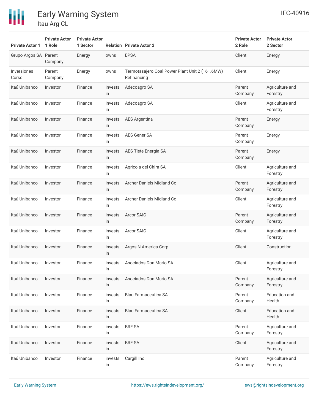

| <b>Private Actor 1</b> | <b>Private Actor</b><br>1 Role | <b>Private Actor</b><br>1 Sector |               | <b>Relation Private Actor 2</b>                                | <b>Private Actor</b><br>2 Role | <b>Private Actor</b><br>2 Sector |
|------------------------|--------------------------------|----------------------------------|---------------|----------------------------------------------------------------|--------------------------------|----------------------------------|
| Grupo Argos SA Parent  | Company                        | Energy                           | owns          | <b>EPSA</b>                                                    | Client                         | Energy                           |
| Inversiones<br>Corso   | Parent<br>Company              | Energy                           | owns          | Termotasajero Coal Power Plant Unit 2 (161.6MW)<br>Refinancing | Client                         | Energy                           |
| Itaú Unibanco          | Investor                       | Finance                          | invests<br>in | Adecoagro SA                                                   | Parent<br>Company              | Agriculture and<br>Forestry      |
| Itaú Unibanco          | Investor                       | Finance                          | invests<br>in | Adecoagro SA                                                   | Client                         | Agriculture and<br>Forestry      |
| Itaú Unibanco          | Investor                       | Finance                          | invests<br>in | <b>AES Argentina</b>                                           | Parent<br>Company              | Energy                           |
| Itaú Unibanco          | Investor                       | Finance                          | invests<br>in | AES Gener SA                                                   | Parent<br>Company              | Energy                           |
| Itaú Unibanco          | Investor                       | Finance                          | invests<br>in | AES Tiete Energia SA                                           | Parent<br>Company              | Energy                           |
| Itaú Unibanco          | Investor                       | Finance                          | invests<br>in | Agricola del Chira SA                                          | Client                         | Agriculture and<br>Forestry      |
| Itaú Unibanco          | Investor                       | Finance                          | invests<br>in | Archer Daniels Midland Co                                      | Parent<br>Company              | Agriculture and<br>Forestry      |
| Itaú Unibanco          | Investor                       | Finance                          | invests<br>in | Archer Daniels Midland Co                                      | Client                         | Agriculture and<br>Forestry      |
| Itaú Unibanco          | Investor                       | Finance                          | invests<br>in | <b>Arcor SAIC</b>                                              | Parent<br>Company              | Agriculture and<br>Forestry      |
| Itaú Unibanco          | Investor                       | Finance                          | invests<br>in | Arcor SAIC                                                     | Client                         | Agriculture and<br>Forestry      |
| Itaú Unibanco          | Investor                       | Finance                          | invests<br>in | Argos N America Corp                                           | Client                         | Construction                     |
| Itaú Unibanco          | Investor                       | Finance                          | invests<br>in | Asociados Don Mario SA                                         | Client                         | Agriculture and<br>Forestry      |
| Itaú Unibanco          | Investor                       | Finance                          | invests<br>in | Asociados Don Mario SA                                         | Parent<br>Company              | Agriculture and<br>Forestry      |
| Itaú Unibanco          | Investor                       | Finance                          | invests<br>in | <b>Blau Farmaceutica SA</b>                                    | Parent<br>Company              | <b>Education</b> and<br>Health   |
| Itaú Unibanco          | Investor                       | Finance                          | invests<br>in | Blau Farmaceutica SA                                           | Client                         | <b>Education and</b><br>Health   |
| Itaú Unibanco          | Investor                       | Finance                          | invests<br>in | <b>BRF SA</b>                                                  | Parent<br>Company              | Agriculture and<br>Forestry      |
| Itaú Unibanco          | Investor                       | Finance                          | invests<br>in | <b>BRF SA</b>                                                  | Client                         | Agriculture and<br>Forestry      |
| Itaú Unibanco          | Investor                       | Finance                          | invests<br>in | Cargill Inc                                                    | Parent<br>Company              | Agriculture and<br>Forestry      |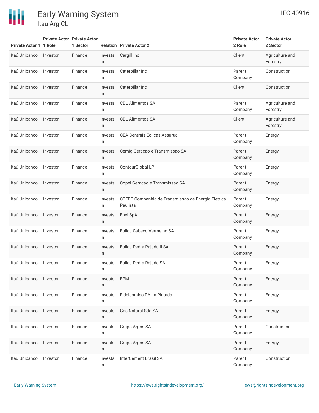# 冊

Early Warning System

Itau Arg CL

| Private Actor 1 1 Role |          | <b>Private Actor Private Actor</b><br>1 Sector |               | <b>Relation Private Actor 2</b>                                | <b>Private Actor</b><br>2 Role | <b>Private Actor</b><br>2 Sector |
|------------------------|----------|------------------------------------------------|---------------|----------------------------------------------------------------|--------------------------------|----------------------------------|
| Itaú Unibanco          | Investor | Finance                                        | invests<br>in | Cargill Inc                                                    | Client                         | Agriculture and<br>Forestry      |
| Itaú Unibanco          | Investor | Finance                                        | invests<br>in | Caterpillar Inc                                                | Parent<br>Company              | Construction                     |
| Itaú Unibanco          | Investor | Finance                                        | invests<br>in | Caterpillar Inc                                                | Client                         | Construction                     |
| Itaú Unibanco          | Investor | Finance                                        | invests<br>in | <b>CBL Alimentos SA</b>                                        | Parent<br>Company              | Agriculture and<br>Forestry      |
| Itaú Unibanco          | Investor | Finance                                        | invests<br>in | <b>CBL Alimentos SA</b>                                        | Client                         | Agriculture and<br>Forestry      |
| Itaú Unibanco          | Investor | Finance                                        | invests<br>in | <b>CEA Centrais Eolicas Assurua</b>                            | Parent<br>Company              | Energy                           |
| Itaú Unibanco          | Investor | Finance                                        | invests<br>in | Cemig Geracao e Transmissao SA                                 | Parent<br>Company              | Energy                           |
| Itaú Unibanco          | Investor | Finance                                        | invests<br>in | ContourGlobal LP                                               | Parent<br>Company              | Energy                           |
| Itaú Unibanco          | Investor | Finance                                        | invests<br>in | Copel Geracao e Transmissao SA                                 | Parent<br>Company              | Energy                           |
| Itaú Unibanco          | Investor | Finance                                        | invests<br>in | CTEEP-Companhia de Transmissao de Energia Eletrica<br>Paulista | Parent<br>Company              | Energy                           |
| Itaú Unibanco          | Investor | Finance                                        | invests<br>in | Enel SpA                                                       | Parent<br>Company              | Energy                           |
| Itaú Unibanco          | Investor | Finance                                        | invests<br>in | Eolica Cabeco Vermelho SA                                      | Parent<br>Company              | Energy                           |
| Itaú Unibanco          | Investor | Finance                                        | invests<br>in | Eolica Pedra Rajada II SA                                      | Parent<br>Company              | Energy                           |
| Itaú Unibanco          | Investor | Finance                                        | invests<br>in | Eolica Pedra Rajada SA                                         | Parent<br>Company              | Energy                           |
| Itaú Unibanco          | Investor | Finance                                        | invests<br>in | <b>EPM</b>                                                     | Parent<br>Company              | Energy                           |
| Itaú Unibanco          | Investor | Finance                                        | invests<br>in | Fideicomiso PA La Pintada                                      | Parent<br>Company              | Energy                           |
| Itaú Unibanco          | Investor | Finance                                        | invests<br>in | Gas Natural Sdg SA                                             | Parent<br>Company              | Energy                           |
| Itaú Unibanco          | Investor | Finance                                        | invests<br>in | Grupo Argos SA                                                 | Parent<br>Company              | Construction                     |
| Itaú Unibanco          | Investor | Finance                                        | invests<br>in | Grupo Argos SA                                                 | Parent<br>Company              | Energy                           |
| Itaú Unibanco          | Investor | Finance                                        | invests<br>in | <b>InterCement Brasil SA</b>                                   | Parent<br>Company              | Construction                     |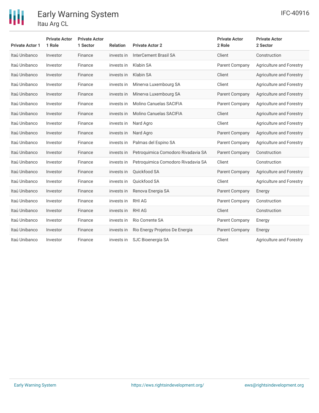

| <b>Private Actor 1</b> | <b>Private Actor</b><br>1 Role | <b>Private Actor</b><br>1 Sector | <b>Relation</b> | <b>Private Actor 2</b>             | <b>Private Actor</b><br>2 Role | <b>Private Actor</b><br>2 Sector |
|------------------------|--------------------------------|----------------------------------|-----------------|------------------------------------|--------------------------------|----------------------------------|
| Itaú Unibanco          | Investor                       | Finance                          | invests in      | <b>InterCement Brasil SA</b>       | Client                         | Construction                     |
| Itaú Unibanco          | Investor                       | Finance                          | invests in      | Klabin SA                          | Parent Company                 | Agriculture and Forestry         |
| Itaú Unibanco          | Investor                       | Finance                          | invests in      | Klabin SA                          | Client                         | Agriculture and Forestry         |
| Itaú Unibanco          | Investor                       | Finance                          | invests in      | Minerva Luxembourg SA              | Client                         | Agriculture and Forestry         |
| Itaú Unibanco          | Investor                       | Finance                          | invests in      | Minerva Luxembourg SA              | Parent Company                 | Agriculture and Forestry         |
| Itaú Unibanco          | Investor                       | Finance                          | invests in      | Molino Canuelas SACIFIA            | Parent Company                 | Agriculture and Forestry         |
| Itaú Unibanco          | Investor                       | Finance                          | invests in      | Molino Canuelas SACIFIA            | Client                         | Agriculture and Forestry         |
| Itaú Unibanco          | Investor                       | Finance                          | invests in      | Nard Agro                          | Client                         | Agriculture and Forestry         |
| Itaú Unibanco          | Investor                       | Finance                          | invests in      | Nard Agro                          | <b>Parent Company</b>          | Agriculture and Forestry         |
| Itaú Unibanco          | Investor                       | Finance                          | invests in      | Palmas del Espino SA               | <b>Parent Company</b>          | <b>Agriculture and Forestry</b>  |
| Itaú Unibanco          | Investor                       | Finance                          | invests in      | Petroquimica Comodoro Rivadavia SA | <b>Parent Company</b>          | Construction                     |
| Itaú Unibanco          | Investor                       | Finance                          | invests in      | Petroquimica Comodoro Rivadavia SA | Client                         | Construction                     |
| Itaú Unibanco          | Investor                       | Finance                          | invests in      | Quickfood SA                       | <b>Parent Company</b>          | <b>Agriculture and Forestry</b>  |
| Itaú Unibanco          | Investor                       | Finance                          | invests in      | Ouickfood SA                       | Client                         | Agriculture and Forestry         |
| Itaú Unibanco          | Investor                       | Finance                          | invests in      | Renova Energia SA                  | Parent Company                 | Energy                           |
| Itaú Unibanco          | Investor                       | Finance                          | invests in      | <b>RHI AG</b>                      | Parent Company                 | Construction                     |
| Itaú Unibanco          | Investor                       | Finance                          | invests in      | <b>RHI AG</b>                      | Client                         | Construction                     |
| Itaú Unibanco          | Investor                       | Finance                          | invests in      | Rio Corrente SA                    | Parent Company                 | Energy                           |
| Itaú Unibanco          | Investor                       | Finance                          | invests in      | Rio Energy Projetos De Energia     | <b>Parent Company</b>          | Energy                           |
| Itaú Unibanco          | Investor                       | Finance                          | invests in      | SJC Bioenergia SA                  | Client                         | Agriculture and Forestry         |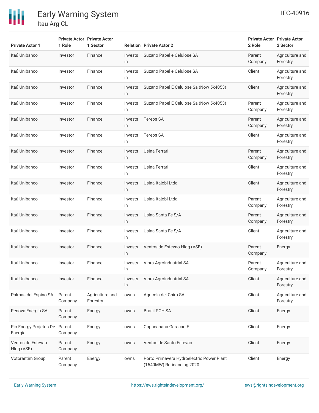

| <b>Private Actor 1</b>            | 1 Role            | <b>Private Actor Private Actor</b><br>1 Sector |               | <b>Relation Private Actor 2</b>                                        | 2 Role            | <b>Private Actor Private Actor</b><br>2 Sector |
|-----------------------------------|-------------------|------------------------------------------------|---------------|------------------------------------------------------------------------|-------------------|------------------------------------------------|
| Itaú Unibanco                     | Investor          | Finance                                        | invests<br>in | Suzano Papel e Celulose SA                                             | Parent<br>Company | Agriculture and<br>Forestry                    |
| Itaú Unibanco                     | Investor          | Finance                                        | invests<br>in | Suzano Papel e Celulose SA                                             | Client            | Agriculture and<br>Forestry                    |
| Itaú Unibanco                     | Investor          | Finance                                        | invests<br>in | Suzano Papel E Celulose Sa (Now 5k4053)                                | Client            | Agriculture and<br>Forestry                    |
| Itaú Unibanco                     | Investor          | Finance                                        | invests<br>in | Suzano Papel E Celulose Sa (Now 5k4053)                                | Parent<br>Company | Agriculture and<br>Forestry                    |
| Itaú Unibanco                     | Investor          | Finance                                        | invests<br>in | <b>Tereos SA</b>                                                       | Parent<br>Company | Agriculture and<br>Forestry                    |
| Itaú Unibanco                     | Investor          | Finance                                        | invests<br>in | <b>Tereos SA</b>                                                       | Client            | Agriculture and<br>Forestry                    |
| Itaú Unibanco                     | Investor          | Finance                                        | invests<br>in | Usina Ferrari                                                          | Parent<br>Company | Agriculture and<br>Forestry                    |
| Itaú Unibanco                     | Investor          | Finance                                        | invests<br>in | Usina Ferrari                                                          | Client            | Agriculture and<br>Forestry                    |
| Itaú Unibanco                     | Investor          | Finance                                        | invests<br>in | Usina Itajobi Ltda                                                     | Client            | Agriculture and<br>Forestry                    |
| Itaú Unibanco                     | Investor          | Finance                                        | invests<br>in | Usina Itajobi Ltda                                                     | Parent<br>Company | Agriculture and<br>Forestry                    |
| Itaú Unibanco                     | Investor          | Finance                                        | invests<br>in | Usina Santa Fe S/A                                                     | Parent<br>Company | Agriculture and<br>Forestry                    |
| Itaú Unibanco                     | Investor          | Finance                                        | invests<br>in | Usina Santa Fe S/A                                                     | Client            | Agriculture and<br>Forestry                    |
| Itaú Unibanco                     | Investor          | Finance                                        | invests<br>in | Ventos de Estevao Hldg (VSE)                                           | Parent<br>Company | Energy                                         |
| Itaú Unibanco                     | Investor          | Finance                                        | invests<br>in | Vibra Agroindustrial SA                                                | Parent<br>Company | Agriculture and<br>Forestry                    |
| Itaú Unibanco                     | Investor          | Finance                                        | invests<br>in | Vibra Agroindustrial SA                                                | Client            | Agriculture and<br>Forestry                    |
| Palmas del Espino SA              | Parent<br>Company | Agriculture and<br>Forestry                    | owns          | Agricola del Chira SA                                                  | Client            | Agriculture and<br>Forestry                    |
| Renova Energia SA                 | Parent<br>Company | Energy                                         | owns          | <b>Brasil PCH SA</b>                                                   | Client            | Energy                                         |
| Rio Energy Projetos De<br>Energia | Parent<br>Company | Energy                                         | owns          | Copacabana Geracao E                                                   | Client            | Energy                                         |
| Ventos de Estevao<br>Hldg (VSE)   | Parent<br>Company | Energy                                         | owns          | Ventos de Santo Estevao                                                | Client            | Energy                                         |
| Votorantim Group                  | Parent<br>Company | Energy                                         | owns          | Porto Primavera Hydroelectric Power Plant<br>(1540MW) Refinancing 2020 | Client            | Energy                                         |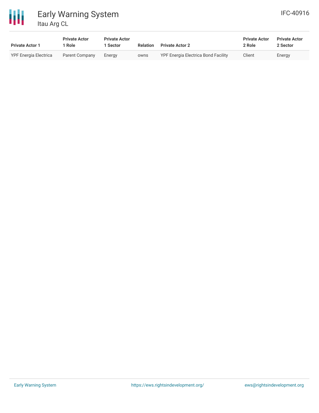

| <b>Private Actor 1</b>       | <b>Private Actor</b><br>Role | <b>Private Actor</b><br>1 Sector | Relation | <b>Private Actor 2</b>              | <b>Private Actor</b><br>2 Role | <b>Private Actor</b><br>2 Sector |
|------------------------------|------------------------------|----------------------------------|----------|-------------------------------------|--------------------------------|----------------------------------|
| <b>YPF Energia Electrica</b> | Parent Company               | Energy                           | owns     | YPF Energia Electrica Bond Facility | Client                         | Energy                           |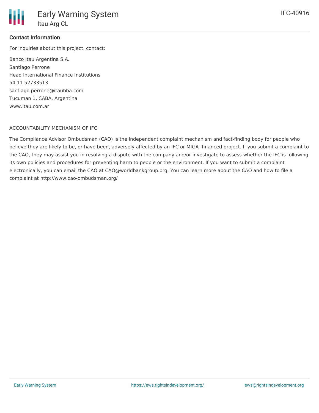

#### **Contact Information**

For inquiries abotut this project, contact:

Banco Itau Argentina S.A. Santiago Perrone Head International Finance Institutions 54 11 52733513 santiago.perrone@itaubba.com Tucuman 1, CABA, Argentina www.itau.com.ar

#### ACCOUNTABILITY MECHANISM OF IFC

The Compliance Advisor Ombudsman (CAO) is the independent complaint mechanism and fact-finding body for people who believe they are likely to be, or have been, adversely affected by an IFC or MIGA- financed project. If you submit a complaint to the CAO, they may assist you in resolving a dispute with the company and/or investigate to assess whether the IFC is following its own policies and procedures for preventing harm to people or the environment. If you want to submit a complaint electronically, you can email the CAO at CAO@worldbankgroup.org. You can learn more about the CAO and how to file a complaint at http://www.cao-ombudsman.org/